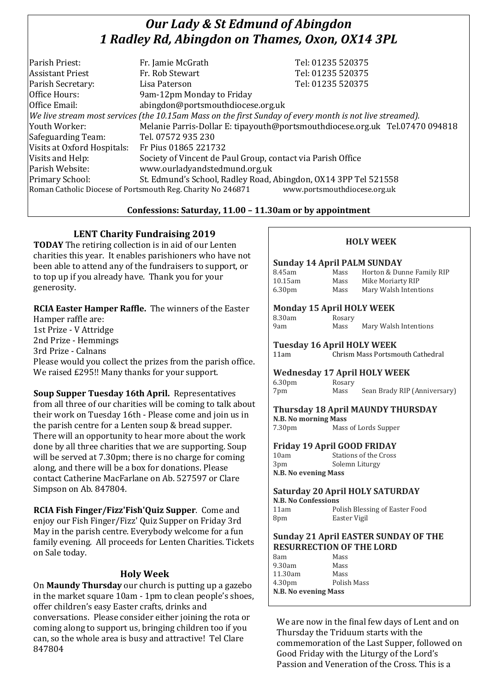# *Our Lady & St Edmund of Abingdon 1 Radley Rd, Abingdon on Thames, Oxon, OX14 3PL*

| Parish Priest:                                                                                           | Fr. Jamie McGrath                                                            | Tel: 01235 520375            |  |
|----------------------------------------------------------------------------------------------------------|------------------------------------------------------------------------------|------------------------------|--|
| <b>Assistant Priest</b>                                                                                  | Fr. Rob Stewart                                                              | Tel: 01235 520375            |  |
| Parish Secretary:                                                                                        | Lisa Paterson                                                                | Tel: 01235 520375            |  |
| Office Hours:                                                                                            | 9am-12pm Monday to Friday                                                    |                              |  |
| Office Email:                                                                                            | abingdon@portsmouthdiocese.org.uk                                            |                              |  |
| We live stream most services (the 10.15am Mass on the first Sunday of every month is not live streamed). |                                                                              |                              |  |
| Youth Worker:                                                                                            | Melanie Parris-Dollar E: tipayouth@portsmouthdiocese.org.uk Tel.07470 094818 |                              |  |
| Safeguarding Team:                                                                                       | Tel. 07572 935 230                                                           |                              |  |
| Visits at Oxford Hospitals:                                                                              | Fr Pius 01865 221732                                                         |                              |  |
| Visits and Help:                                                                                         | Society of Vincent de Paul Group, contact via Parish Office                  |                              |  |
| Parish Website:                                                                                          | www.ourladyandstedmund.org.uk                                                |                              |  |
| Primary School:                                                                                          | St. Edmund's School, Radley Road, Abingdon, OX14 3PP Tel 521558              |                              |  |
|                                                                                                          | Roman Catholic Diocese of Portsmouth Reg. Charity No 246871                  | www.portsmouthdiocese.org.uk |  |
|                                                                                                          |                                                                              |                              |  |

# **Confessions: Saturday, 11.00 – 11.30am or by appointment**

# **LENT Charity Fundraising 2019**

**TODAY** The retiring collection is in aid of our Lenten charities this year. It enables parishioners who have not been able to attend any of the fundraisers to support, or to top up if you already have. Thank you for your generosity.

**RCIA Easter Hamper Raffle.** The winners of the Easter Hamper raffle are: 1st Prize - V Attridge 2nd Prize - Hemmings 3rd Prize - Calnans Please would you collect the prizes from the parish office. We raised £295!! Many thanks for your support.

**Soup Supper Tuesday 16th April.** Representatives from all three of our charities will be coming to talk about their work on Tuesday 16th - Please come and join us in the parish centre for a Lenten soup & bread supper. There will an opportunity to hear more about the work done by all three charities that we are supporting. Soup will be served at 7.30pm; there is no charge for coming along, and there will be a box for donations. Please contact Catherine MacFarlane on Ab. 527597 or Clare Simpson on Ab. 847804.

**RCIA Fish Finger/Fizz'Fish'Quiz Supper**. Come and enjoy our Fish Finger/Fizz' Quiz Supper on Friday 3rd May in the parish centre. Everybody welcome for a fun family evening. All proceeds for Lenten Charities. Tickets on Sale today.

# **Holy Week**

On **Maundy Thursday** our church is putting up a gazebo in the market square 10am - 1pm to clean people's shoes, offer children's easy Easter crafts, drinks and conversations. Please consider either joining the rota or coming along to support us, bringing children too if you can, so the whole area is busy and attractive! Tel Clare 847804

### **HOLY WEEK**

#### **Sunday 14 April PALM SUNDAY**

| 8.45am             | Mass | Horton & Dunne Family RIP |
|--------------------|------|---------------------------|
| 10.15am            | Mass | Mike Moriarty RIP         |
| 6.30 <sub>pm</sub> | Mass | Mary Walsh Intentions     |

#### **Monday 15 April HOLY WEEK**

| 8.30am | Rosary |
|--------|--------|
| 9am    | Mass   |

9am Mass Mary Walsh Intentions

**Tuesday 16 April HOLY WEEK** 11am Chrism Mass Portsmouth Cathedral

| <b>Wednesday 17 April HOLY WEEK</b> |        |                              |  |  |
|-------------------------------------|--------|------------------------------|--|--|
| 6.30 <sub>pm</sub>                  | Rosary |                              |  |  |
| 7pm                                 | Mass   | Sean Brady RIP (Anniversary) |  |  |

**Thursday 18 April MAUNDY THURSDAY N.B. No morning Mass**

7.30pm Mass of Lords Supper

**Friday 19 April GOOD FRIDAY**

10am Stations of the Cross 3pm Solemn Liturgy **N.B. No evening Mass**

#### **Saturday 20 April HOLY SATURDAY N.B. No Confessions**

| N.D. NO COMESSIONS |                                |  |
|--------------------|--------------------------------|--|
| 11am               | Polish Blessing of Easter Food |  |
| 8pm                | Easter Vigil                   |  |

### **Sunday 21 April EASTER SUNDAY OF THE RESURRECTION OF THE LORD**

| 8am                         | Mass        |  |
|-----------------------------|-------------|--|
| 9.30am                      | Mass        |  |
| 11.30am                     | Mass        |  |
| 4.30 <sub>pm</sub>          | Polish Mass |  |
| <b>N.B. No evening Mass</b> |             |  |

We are now in the final few days of Lent and on Thursday the Triduum starts with the commemoration of the Last Supper, followed on Good Friday with the Liturgy of the Lord's Passion and Veneration of the Cross. This is a